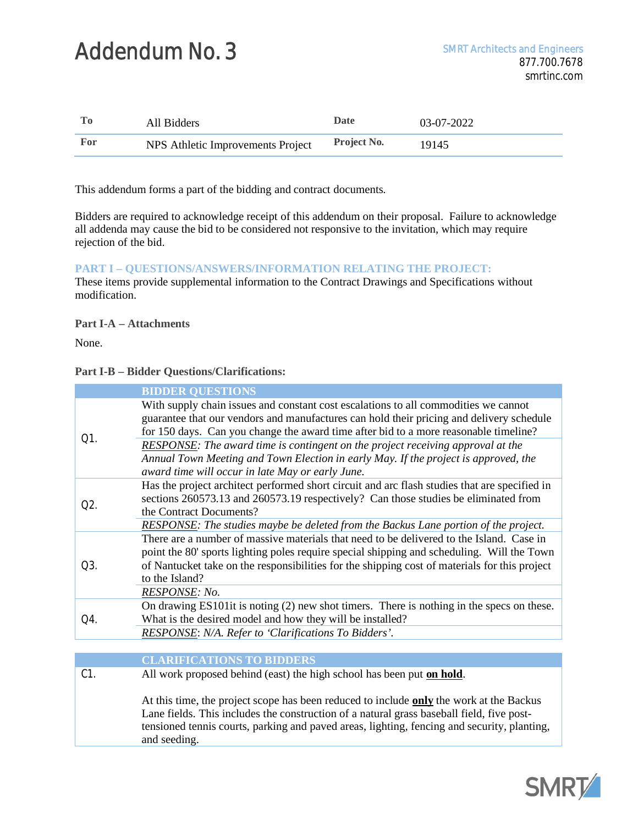# Addendum No. 3 SMRT Architects and Engineers

|     | All Bidders                       | <b>Date</b>        | 03-07-2022 |
|-----|-----------------------------------|--------------------|------------|
| For | NPS Athletic Improvements Project | <b>Project No.</b> | 19145      |

This addendum forms a part of the bidding and contract documents.

Bidders are required to acknowledge receipt of this addendum on their proposal. Failure to acknowledge all addenda may cause the bid to be considered not responsive to the invitation, which may require rejection of the bid.

# **PART I – QUESTIONS/ANSWERS/INFORMATION RELATING THE PROJECT:**

These items provide supplemental information to the Contract Drawings and Specifications without modification.

**Part I-A – Attachments**

None.

**Part I-B – Bidder Questions/Clarifications:**

|                  | <b>BIDDER QUESTIONS</b>                                                                                                                                                                                                                                                                                   |
|------------------|-----------------------------------------------------------------------------------------------------------------------------------------------------------------------------------------------------------------------------------------------------------------------------------------------------------|
| $O1$ .           | With supply chain issues and constant cost escalations to all commodities we cannot<br>guarantee that our vendors and manufactures can hold their pricing and delivery schedule<br>for 150 days. Can you change the award time after bid to a more reasonable timeline?                                   |
|                  | <b>RESPONSE:</b> The award time is contingent on the project receiving approval at the<br>Annual Town Meeting and Town Election in early May. If the project is approved, the<br>award time will occur in late May or early June.                                                                         |
| O <sub>2</sub> . | Has the project architect performed short circuit and arc flash studies that are specified in<br>sections 260573.13 and 260573.19 respectively? Can those studies be eliminated from<br>the Contract Documents?                                                                                           |
|                  | <b>RESPONSE:</b> The studies maybe be deleted from the Backus Lane portion of the project.                                                                                                                                                                                                                |
| O3.              | There are a number of massive materials that need to be delivered to the Island. Case in<br>point the 80' sports lighting poles require special shipping and scheduling. Will the Town<br>of Nantucket take on the responsibilities for the shipping cost of materials for this project<br>to the Island? |
|                  | RESPONSE: No.                                                                                                                                                                                                                                                                                             |
| Q4.              | On drawing ES101it is noting (2) new shot timers. There is nothing in the specs on these.                                                                                                                                                                                                                 |
|                  | What is the desired model and how they will be installed?                                                                                                                                                                                                                                                 |
|                  | RESPONSE: N/A. Refer to 'Clarifications To Bidders'.                                                                                                                                                                                                                                                      |
|                  |                                                                                                                                                                                                                                                                                                           |

# **CLARIFICATIONS TO BIDDERS**

C1. All work proposed behind (east) the high school has been put **on hold**.

At this time, the project scope has been reduced to include **only** the work at the Backus Lane fields. This includes the construction of a natural grass baseball field, five posttensioned tennis courts, parking and paved areas, lighting, fencing and security, planting, and seeding.

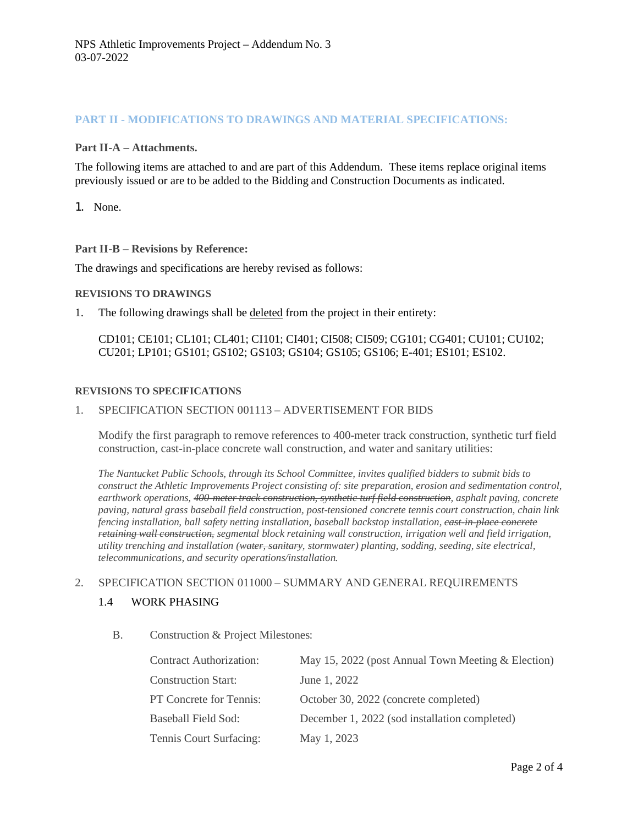# **PART II - MODIFICATIONS TO DRAWINGS AND MATERIAL SPECIFICATIONS:**

## **Part II-A – Attachments.**

The following items are attached to and are part of this Addendum. These items replace original items previously issued or are to be added to the Bidding and Construction Documents as indicated.

1. None.

#### **Part II-B – Revisions by Reference:**

The drawings and specifications are hereby revised as follows:

### **REVISIONS TO DRAWINGS**

1. The following drawings shall be deleted from the project in their entirety:

CD101; CE101; CL101; CL401; CI101; CI401; CI508; CI509; CG101; CG401; CU101; CU102; CU201; LP101; GS101; GS102; GS103; GS104; GS105; GS106; E-401; ES101; ES102.

#### **REVISIONS TO SPECIFICATIONS**

## 1. SPECIFICATION SECTION 001113 – ADVERTISEMENT FOR BIDS

Modify the first paragraph to remove references to 400-meter track construction, synthetic turf field construction, cast-in-place concrete wall construction, and water and sanitary utilities:

*The Nantucket Public Schools, through its School Committee, invites qualified bidders to submit bids to construct the Athletic Improvements Project consisting of: site preparation, erosion and sedimentation control, earthwork operations, 400-meter track construction, synthetic turf field construction, asphalt paving, concrete paving, natural grass baseball field construction, post-tensioned concrete tennis court construction, chain link fencing installation, ball safety netting installation, baseball backstop installation, cast-in-place concrete retaining wall construction, segmental block retaining wall construction, irrigation well and field irrigation, utility trenching and installation (water, sanitary, stormwater) planting, sodding, seeding, site electrical, telecommunications, and security operations/installation.*

## 2. SPECIFICATION SECTION 011000 – SUMMARY AND GENERAL REQUIREMENTS

## 1.4 WORK PHASING

B. Construction & Project Milestones:

| <b>Contract Authorization:</b> | May 15, 2022 (post Annual Town Meeting & Election) |
|--------------------------------|----------------------------------------------------|
| <b>Construction Start:</b>     | June 1, 2022                                       |
| PT Concrete for Tennis:        | October 30, 2022 (concrete completed)              |
| <b>Baseball Field Sod:</b>     | December 1, 2022 (sod installation completed)      |
| Tennis Court Surfacing:        | May 1, 2023                                        |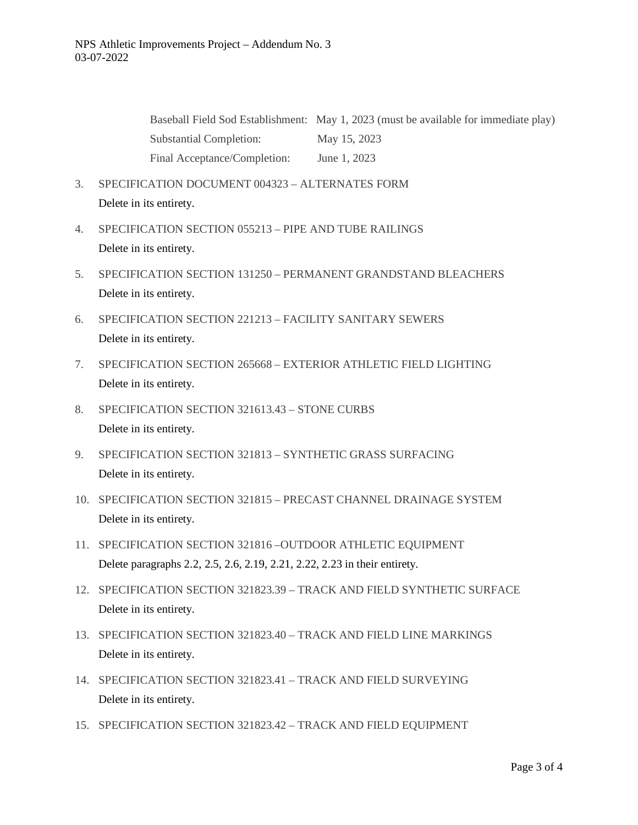Baseball Field Sod Establishment: May 1, 2023 (must be available for immediate play) Substantial Completion: May 15, 2023 Final Acceptance/Completion: June 1, 2023

- 3. SPECIFICATION DOCUMENT 004323 ALTERNATES FORM Delete in its entirety.
- 4. SPECIFICATION SECTION 055213 PIPE AND TUBE RAILINGS Delete in its entirety.
- 5. SPECIFICATION SECTION 131250 PERMANENT GRANDSTAND BLEACHERS Delete in its entirety.
- 6. SPECIFICATION SECTION 221213 FACILITY SANITARY SEWERS Delete in its entirety.
- 7. SPECIFICATION SECTION 265668 EXTERIOR ATHLETIC FIELD LIGHTING Delete in its entirety.
- 8. SPECIFICATION SECTION 321613.43 STONE CURBS Delete in its entirety.
- 9. SPECIFICATION SECTION 321813 SYNTHETIC GRASS SURFACING Delete in its entirety.
- 10. SPECIFICATION SECTION 321815 PRECAST CHANNEL DRAINAGE SYSTEM Delete in its entirety.
- 11. SPECIFICATION SECTION 321816 –OUTDOOR ATHLETIC EQUIPMENT Delete paragraphs 2.2, 2.5, 2.6, 2.19, 2.21, 2.22, 2.23 in their entirety.
- 12. SPECIFICATION SECTION 321823.39 TRACK AND FIELD SYNTHETIC SURFACE Delete in its entirety.
- 13. SPECIFICATION SECTION 321823.40 TRACK AND FIELD LINE MARKINGS Delete in its entirety.
- 14. SPECIFICATION SECTION 321823.41 TRACK AND FIELD SURVEYING Delete in its entirety.
- 15. SPECIFICATION SECTION 321823.42 TRACK AND FIELD EQUIPMENT